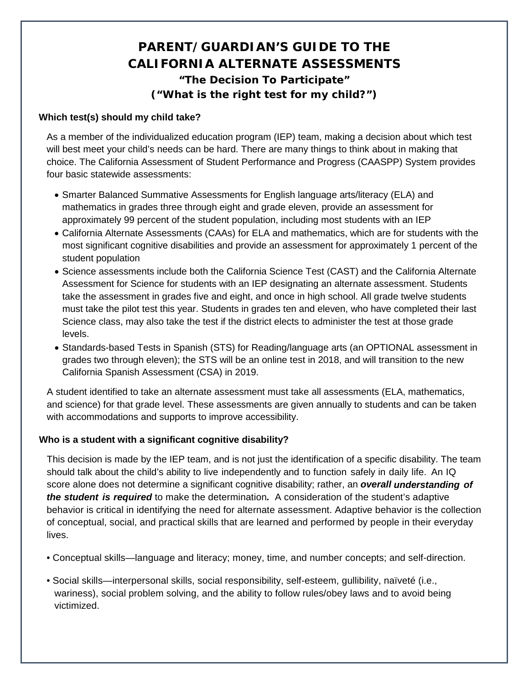## **PARENT/GUARDIAN'S GUIDE TO THE CALIFORNIA ALTERNATE ASSESSMENTS "The Decision To Participate" ("What is the right test for my child?")**

## **Which test(s) should my child take?**

As a member of the individualized education program (IEP) team, making a decision about which test will best meet your child's needs can be hard. There are many things to think about in making that choice. The California Assessment of Student Performance and Progress (CAASPP) System provides four basic statewide assessments:

- Smarter Balanced Summative Assessments for English language arts/literacy (ELA) and mathematics in grades three through eight and grade eleven, provide an assessment for approximately 99 percent of the student population, including most students with an IEP
- California Alternate Assessments (CAAs) for ELA and mathematics, which are for students with the most significant cognitive disabilities and provide an assessment for approximately 1 percent of the student population
- Science assessments include both the California Science Test (CAST) and the California Alternate Assessment for Science for students with an IEP designating an alternate assessment. Students take the assessment in grades five and eight, and once in high school. All grade twelve students must take the pilot test this year. Students in grades ten and eleven, who have completed their last Science class, may also take the test if the district elects to administer the test at those grade levels.
- Standards-based Tests in Spanish (STS) for Reading/language arts (an OPTIONAL assessment in grades two through eleven); the STS will be an online test in 2018, and will transition to the new California Spanish Assessment (CSA) in 2019.

A student identified to take an alternate assessment must take all assessments (ELA, mathematics, and science) for that grade level. These assessments are given annually to students and can be taken with accommodations and supports to improve accessibility.

## **Who is a student with a significant cognitive disability?**

This decision is made by the IEP team, and is not just the identification of a specific disability. The team should talk about the child's ability to live independently and to function safely in daily life. An IQ score alone does not determine a significant cognitive disability; rather, an *overall understanding of the student is required* to make the determination*.* A consideration of the student's adaptive behavior is critical in identifying the need for alternate assessment. Adaptive behavior is the collection of conceptual, social, and practical skills that are learned and performed by people in their everyday lives.

- Conceptual skills—language and literacy; money, time, and number concepts; and self-direction.
- Social skills—interpersonal skills, social responsibility, self-esteem, gullibility, naïveté (i.e., wariness), social problem solving, and the ability to follow rules/obey laws and to avoid being victimized.